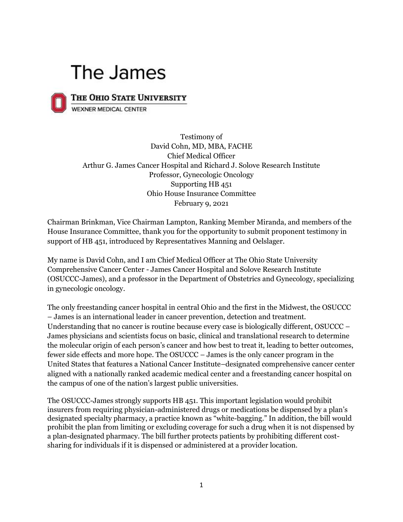## The James



THE OHIO STATE UNIVERSITY

**WEXNER MEDICAL CENTER** 

Testimony of David Cohn, MD, MBA, FACHE Chief Medical Officer Arthur G. James Cancer Hospital and Richard J. Solove Research Institute Professor, Gynecologic Oncology Supporting HB 451 Ohio House Insurance Committee February 9, 2021

Chairman Brinkman, Vice Chairman Lampton, Ranking Member Miranda, and members of the House Insurance Committee, thank you for the opportunity to submit proponent testimony in support of HB 451, introduced by Representatives Manning and Oelslager.

My name is David Cohn, and I am Chief Medical Officer at The Ohio State University Comprehensive Cancer Center - James Cancer Hospital and Solove Research Institute (OSUCCC-James), and a professor in the Department of Obstetrics and Gynecology, specializing in gynecologic oncology.

The only freestanding cancer hospital in central Ohio and the first in the Midwest, the OSUCCC – James is an international leader in cancer prevention, detection and treatment. Understanding that no cancer is routine because every case is biologically different, OSUCCC – James physicians and scientists focus on basic, clinical and translational research to determine the molecular origin of each person's cancer and how best to treat it, leading to better outcomes, fewer side effects and more hope. The OSUCCC – James is the only cancer program in the United States that features a National Cancer Institute–designated comprehensive cancer center aligned with a nationally ranked academic medical center and a freestanding cancer hospital on the campus of one of the nation's largest public universities.

The OSUCCC-James strongly supports HB 451. This important legislation would prohibit insurers from requiring physician-administered drugs or medications be dispensed by a plan's designated specialty pharmacy, a practice known as "white-bagging." In addition, the bill would prohibit the plan from limiting or excluding coverage for such a drug when it is not dispensed by a plan-designated pharmacy. The bill further protects patients by prohibiting different costsharing for individuals if it is dispensed or administered at a provider location.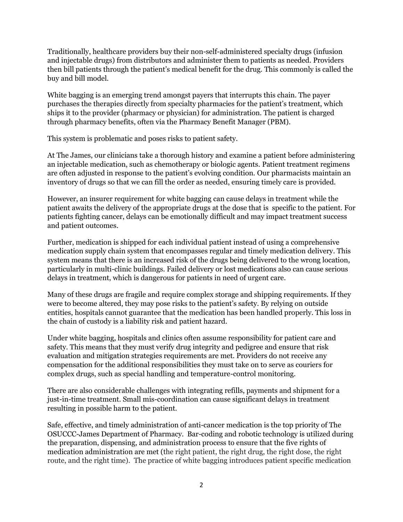Traditionally, healthcare providers buy their non-self-administered specialty drugs (infusion and injectable drugs) from distributors and administer them to patients as needed. Providers then bill patients through the patient's medical benefit for the drug. This commonly is called the buy and bill model.

White bagging is an emerging trend amongst payers that interrupts this chain. The payer purchases the therapies directly from specialty pharmacies for the patient's treatment, which ships it to the provider (pharmacy or physician) for administration. The patient is charged through pharmacy benefits, often via the Pharmacy Benefit Manager (PBM).

This system is problematic and poses risks to patient safety.

At The James, our clinicians take a thorough history and examine a patient before administering an injectable medication, such as chemotherapy or biologic agents. Patient treatment regimens are often adjusted in response to the patient's evolving condition. Our pharmacists maintain an inventory of drugs so that we can fill the order as needed, ensuring timely care is provided.

However, an insurer requirement for white bagging can cause delays in treatment while the patient awaits the delivery of the appropriate drugs at the dose that is specific to the patient. For patients fighting cancer, delays can be emotionally difficult and may impact treatment success and patient outcomes.

Further, medication is shipped for each individual patient instead of using a comprehensive medication supply chain system that encompasses regular and timely medication delivery. This system means that there is an increased risk of the drugs being delivered to the wrong location, particularly in multi-clinic buildings. Failed delivery or lost medications also can cause serious delays in treatment, which is dangerous for patients in need of urgent care.

Many of these drugs are fragile and require complex storage and shipping requirements. If they were to become altered, they may pose risks to the patient's safety. By relying on outside entities, hospitals cannot guarantee that the medication has been handled properly. This loss in the chain of custody is a liability risk and patient hazard.

Under white bagging, hospitals and clinics often assume responsibility for patient care and safety. This means that they must verify drug integrity and pedigree and ensure that risk evaluation and mitigation strategies requirements are met. Providers do not receive any compensation for the additional responsibilities they must take on to serve as couriers for complex drugs, such as special handling and temperature-control monitoring.

There are also considerable challenges with integrating refills, payments and shipment for a just-in-time treatment. Small mis-coordination can cause significant delays in treatment resulting in possible harm to the patient.

Safe, effective, and timely administration of anti-cancer medication is the top priority of The OSUCCC-James Department of Pharmacy. Bar-coding and robotic technology is utilized during the preparation, dispensing, and administration process to ensure that the five rights of medication administration are met (the right patient, the right drug, the right dose, the right route, and the right time). The practice of white bagging introduces patient specific medication